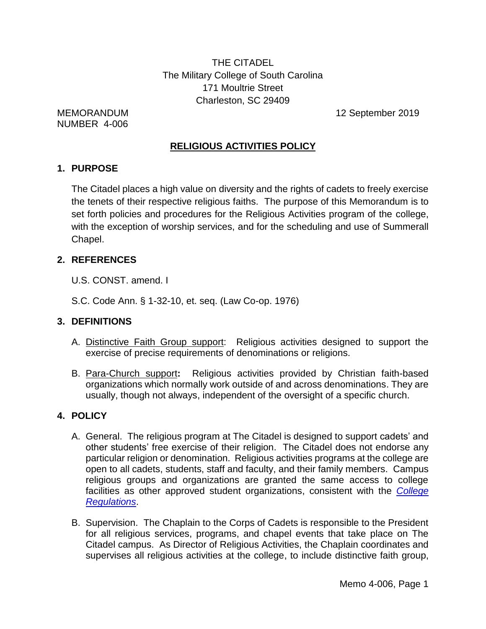THE CITADEL The Military College of South Carolina 171 Moultrie Street Charleston, SC 29409

NUMBER 4-006

MEMORANDUM 12 September 2019

# **RELIGIOUS ACTIVITIES POLICY**

## **1. PURPOSE**

The Citadel places a high value on diversity and the rights of cadets to freely exercise the tenets of their respective religious faiths. The purpose of this Memorandum is to set forth policies and procedures for the Religious Activities program of the college, with the exception of worship services, and for the scheduling and use of Summerall Chapel.

# **2. REFERENCES**

- U.S. CONST. amend. I
- S.C. Code Ann. § 1-32-10, et. seq. (Law Co-op. 1976)

# **3. DEFINITIONS**

- A. Distinctive Faith Group support: Religious activities designed to support the exercise of precise requirements of denominations or religions.
- B. Para-Church support**:** Religious activities provided by Christian faith-based organizations which normally work outside of and across denominations. They are usually, though not always, independent of the oversight of a specific church.

# **4. POLICY**

- A. General. The religious program at The Citadel is designed to support cadets' and other students' free exercise of their religion. The Citadel does not endorse any particular religion or denomination. Religious activities programs at the college are open to all cadets, students, staff and faculty, and their family members. Campus religious groups and organizations are granted the same access to college facilities as other approved student organizations, consistent with the *[College](http://www.citadel.edu/root/images/policies/college-regulations.pdf)  [Regulations](http://www.citadel.edu/root/images/policies/college-regulations.pdf)*.
- B. Supervision. The Chaplain to the Corps of Cadets is responsible to the President for all religious services, programs, and chapel events that take place on The Citadel campus. As Director of Religious Activities, the Chaplain coordinates and supervises all religious activities at the college, to include distinctive faith group,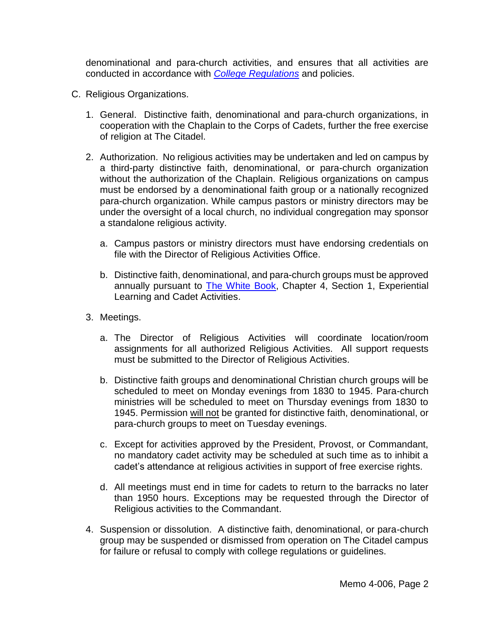denominational and para-church activities, and ensures that all activities are conducted in accordance with *[College Regulations](http://www.citadel.edu/root/images/policies/college-regulations.pdf)* and policies.

- C. Religious Organizations.
	- 1. General. Distinctive faith, denominational and para-church organizations, in cooperation with the Chaplain to the Corps of Cadets, further the free exercise of religion at The Citadel.
	- 2. Authorization. No religious activities may be undertaken and led on campus by a third-party distinctive faith, denominational, or para-church organization without the authorization of the Chaplain. Religious organizations on campus must be endorsed by a denominational faith group or a nationally recognized para-church organization. While campus pastors or ministry directors may be under the oversight of a local church, no individual congregation may sponsor a standalone religious activity.
		- a. Campus pastors or ministry directors must have endorsing credentials on file with the Director of Religious Activities Office.
		- b. Distinctive faith, denominational, and para-church groups must be approved annually pursuant to [The White Book,](http://www.citadel.edu/root/cadet-regulations/the-white-book) Chapter 4, Section 1, Experiential Learning and Cadet Activities.
	- 3. Meetings.
		- a. The Director of Religious Activities will coordinate location/room assignments for all authorized Religious Activities. All support requests must be submitted to the Director of Religious Activities.
		- b. Distinctive faith groups and denominational Christian church groups will be scheduled to meet on Monday evenings from 1830 to 1945. Para-church ministries will be scheduled to meet on Thursday evenings from 1830 to 1945. Permission will not be granted for distinctive faith, denominational, or para-church groups to meet on Tuesday evenings.
		- c. Except for activities approved by the President, Provost, or Commandant, no mandatory cadet activity may be scheduled at such time as to inhibit a cadet's attendance at religious activities in support of free exercise rights.
		- d. All meetings must end in time for cadets to return to the barracks no later than 1950 hours. Exceptions may be requested through the Director of Religious activities to the Commandant.
	- 4. Suspension or dissolution. A distinctive faith, denominational, or para-church group may be suspended or dismissed from operation on The Citadel campus for failure or refusal to comply with college regulations or guidelines.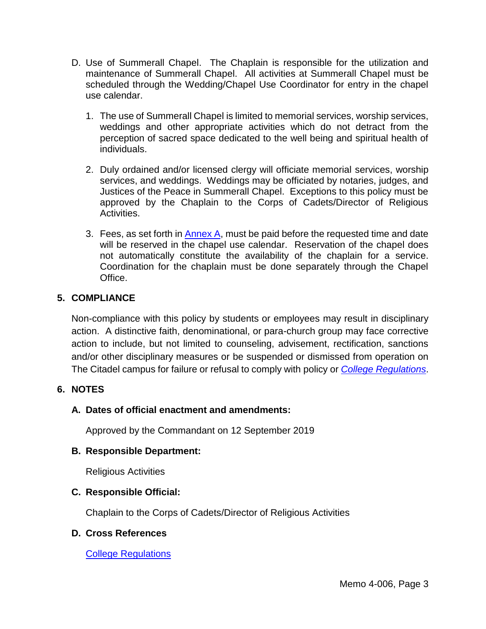- D. Use of Summerall Chapel. The Chaplain is responsible for the utilization and maintenance of Summerall Chapel. All activities at Summerall Chapel must be scheduled through the Wedding/Chapel Use Coordinator for entry in the chapel use calendar.
	- 1. The use of Summerall Chapel is limited to memorial services, worship services, weddings and other appropriate activities which do not detract from the perception of sacred space dedicated to the well being and spiritual health of individuals.
	- 2. Duly ordained and/or licensed clergy will officiate memorial services, worship services, and weddings. Weddings may be officiated by notaries, judges, and Justices of the Peace in Summerall Chapel. Exceptions to this policy must be approved by the Chaplain to the Corps of Cadets/Director of Religious Activities.
	- 3. Fees, as set forth in  $\frac{\text{Annex } A}{\text{Inert}}$ , must be paid before the requested time and date will be reserved in the chapel use calendar. Reservation of the chapel does not automatically constitute the availability of the chaplain for a service. Coordination for the chaplain must be done separately through the Chapel Office.

# **5. COMPLIANCE**

Non-compliance with this policy by students or employees may result in disciplinary action. A distinctive faith, denominational, or para-church group may face corrective action to include, but not limited to counseling, advisement, rectification, sanctions and/or other disciplinary measures or be suspended or dismissed from operation on The Citadel campus for failure or refusal to comply with policy or *[College Regulations](http://www.citadel.edu/root/images/policies/college-regulations.pdf)*.

# **6. NOTES**

# **A. Dates of official enactment and amendments:**

Approved by the Commandant on 12 September 2019

#### **B. Responsible Department:**

Religious Activities

#### **C. Responsible Official:**

Chaplain to the Corps of Cadets/Director of Religious Activities

#### **D. Cross References**

[College Regulations](http://www.citadel.edu/root/images/policies/college-regulations.pdf)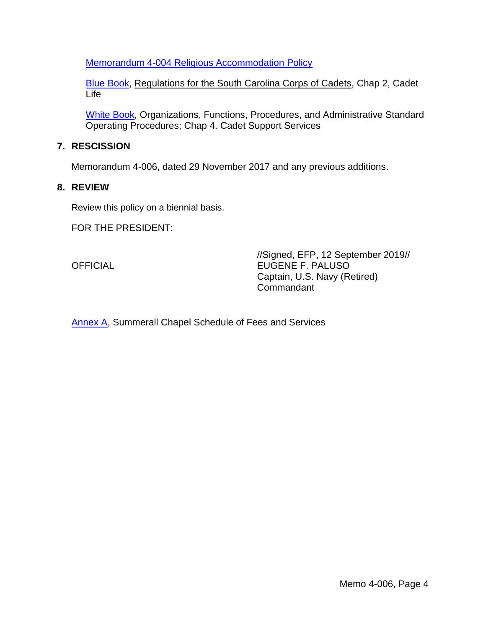[Memorandum 4-004 Religious Accommodation](http://www.citadel.edu/root/images/policies/religious-accommodation-policy.pdf) Policy

[Blue Book,](http://www.citadel.edu/root/images/Commandant/Blue-Book.pdf) Regulations for the South Carolina Corps of Cadets, Chap 2, Cadet Life

[White Book,](http://www.citadel.edu/root/cadet-regulations/the-white-book) Organizations, Functions, Procedures, and Administrative Standard Operating Procedures; Chap 4. Cadet Support Services

### **7. RESCISSION**

Memorandum 4-006, dated 29 November 2017 and any previous additions.

#### **8. REVIEW**

Review this policy on a biennial basis.

FOR THE PRESIDENT:

//Signed, EFP, 12 September 2019// OFFICIAL EUGENE F. PALUSO Captain, U.S. Navy (Retired) **Commandant** 

[Annex A,](#page-4-0) Summerall Chapel Schedule of Fees and Services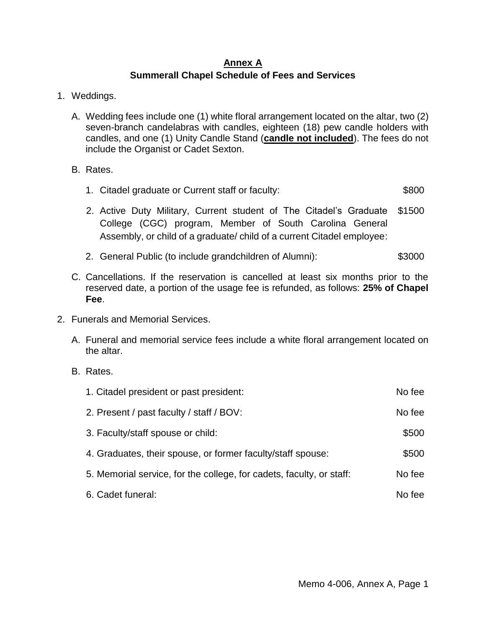# **Annex A Summerall Chapel Schedule of Fees and Services**

- <span id="page-4-0"></span>1. Weddings.
	- A. Wedding fees include one (1) white floral arrangement located on the altar, two (2) seven-branch candelabras with candles, eighteen (18) pew candle holders with candles, and one (1) Unity Candle Stand (**candle not included**). The fees do not include the Organist or Cadet Sexton.
	- B. Rates.
		- 1. Citadel graduate or Current staff or faculty: \$800
		- 2. Active Duty Military, Current student of The Citadel's Graduate College (CGC) program, Member of South Carolina General Assembly, or child of a graduate/ child of a current Citadel employee: \$1500
		- 2. General Public (to include grandchildren of Alumni): \$3000
	- C. Cancellations. If the reservation is cancelled at least six months prior to the reserved date, a portion of the usage fee is refunded, as follows: **25% of Chapel Fee**.
- 2. Funerals and Memorial Services.
	- A. Funeral and memorial service fees include a white floral arrangement located on the altar.
	- B. Rates.

| 1. Citadel president or past president:                              | No fee |
|----------------------------------------------------------------------|--------|
| 2. Present / past faculty / staff / BOV:                             | No fee |
| 3. Faculty/staff spouse or child:                                    | \$500  |
| 4. Graduates, their spouse, or former faculty/staff spouse:          | \$500  |
| 5. Memorial service, for the college, for cadets, faculty, or staff: | No fee |
| 6. Cadet funeral:                                                    | No fee |